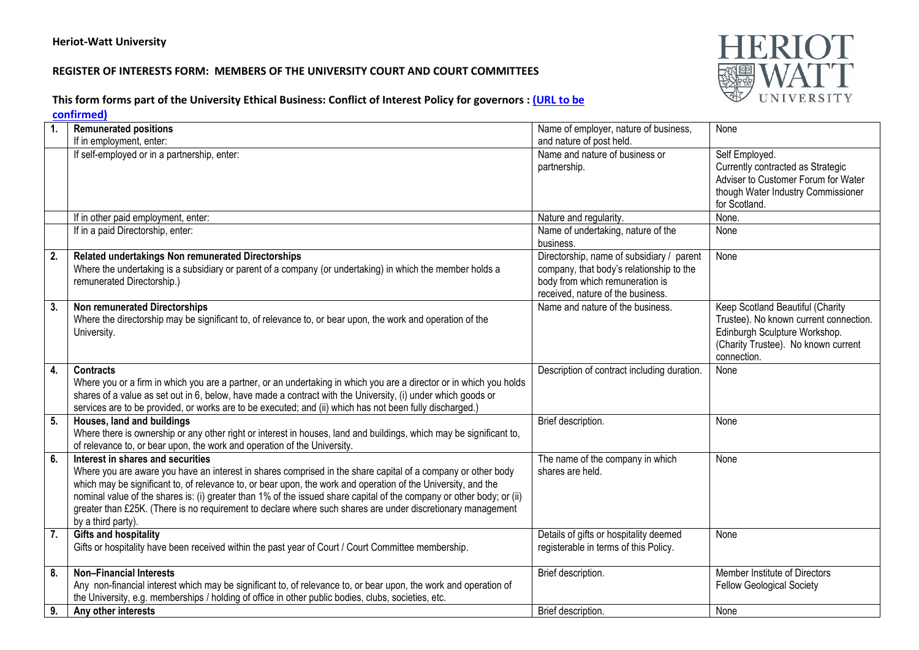## **REGISTER OF INTERESTS FORM: MEMBERS OF THE UNIVERSITY COURT AND COURT COMMITTEES**



## **This form forms part of the University Ethical Business: Conflict of Interest Policy for governors [: \(URL](http://www.xxx/) to be**

**confirmed)**

| 1.               | <b>Remunerated positions</b>                                                                                          | Name of employer, nature of business,       | None                                   |
|------------------|-----------------------------------------------------------------------------------------------------------------------|---------------------------------------------|----------------------------------------|
|                  | If in employment, enter:                                                                                              | and nature of post held.                    |                                        |
|                  | If self-employed or in a partnership, enter:                                                                          | Name and nature of business or              | Self Employed.                         |
|                  |                                                                                                                       | partnership.                                | Currently contracted as Strategic      |
|                  |                                                                                                                       |                                             | Adviser to Customer Forum for Water    |
|                  |                                                                                                                       |                                             | though Water Industry Commissioner     |
|                  |                                                                                                                       |                                             | for Scotland.                          |
|                  | If in other paid employment, enter:                                                                                   | Nature and regularity.                      | None.                                  |
|                  | If in a paid Directorship, enter:                                                                                     | Name of undertaking, nature of the          | None                                   |
|                  |                                                                                                                       | business.                                   |                                        |
| 2.               | Related undertakings Non remunerated Directorships                                                                    | Directorship, name of subsidiary / parent   | None                                   |
|                  | Where the undertaking is a subsidiary or parent of a company (or undertaking) in which the member holds a             | company, that body's relationship to the    |                                        |
|                  | remunerated Directorship.)                                                                                            | body from which remuneration is             |                                        |
|                  |                                                                                                                       | received, nature of the business.           |                                        |
| 3.               | <b>Non remunerated Directorships</b>                                                                                  | Name and nature of the business.            | Keep Scotland Beautiful (Charity       |
|                  | Where the directorship may be significant to, of relevance to, or bear upon, the work and operation of the            |                                             | Trustee). No known current connection. |
|                  | University.                                                                                                           |                                             | Edinburgh Sculpture Workshop.          |
|                  |                                                                                                                       |                                             | (Charity Trustee). No known current    |
|                  |                                                                                                                       |                                             | connection.                            |
| $\overline{4}$ . | <b>Contracts</b>                                                                                                      | Description of contract including duration. | None                                   |
|                  | Where you or a firm in which you are a partner, or an undertaking in which you are a director or in which you holds   |                                             |                                        |
|                  | shares of a value as set out in 6, below, have made a contract with the University, (i) under which goods or          |                                             |                                        |
|                  | services are to be provided, or works are to be executed; and (ii) which has not been fully discharged.)              |                                             |                                        |
| 5.               | Houses, land and buildings                                                                                            | Brief description.                          | None                                   |
|                  | Where there is ownership or any other right or interest in houses, land and buildings, which may be significant to,   |                                             |                                        |
|                  | of relevance to, or bear upon, the work and operation of the University.                                              |                                             |                                        |
| 6.               | Interest in shares and securities                                                                                     | The name of the company in which            | None                                   |
|                  | Where you are aware you have an interest in shares comprised in the share capital of a company or other body          | shares are held.                            |                                        |
|                  | which may be significant to, of relevance to, or bear upon, the work and operation of the University, and the         |                                             |                                        |
|                  | nominal value of the shares is: (i) greater than 1% of the issued share capital of the company or other body; or (ii) |                                             |                                        |
|                  | greater than £25K. (There is no requirement to declare where such shares are under discretionary management           |                                             |                                        |
|                  | by a third party).                                                                                                    |                                             |                                        |
| 7.               | <b>Gifts and hospitality</b>                                                                                          | Details of gifts or hospitality deemed      | None                                   |
|                  | Gifts or hospitality have been received within the past year of Court / Court Committee membership.                   | registerable in terms of this Policy.       |                                        |
|                  |                                                                                                                       |                                             |                                        |
| 8.               | <b>Non-Financial Interests</b>                                                                                        | Brief description.                          | Member Institute of Directors          |
|                  | Any non-financial interest which may be significant to, of relevance to, or bear upon, the work and operation of      |                                             | <b>Fellow Geological Society</b>       |
|                  | the University, e.g. memberships / holding of office in other public bodies, clubs, societies, etc.                   |                                             |                                        |
| 9.               | Any other interests                                                                                                   | Brief description.                          | None                                   |